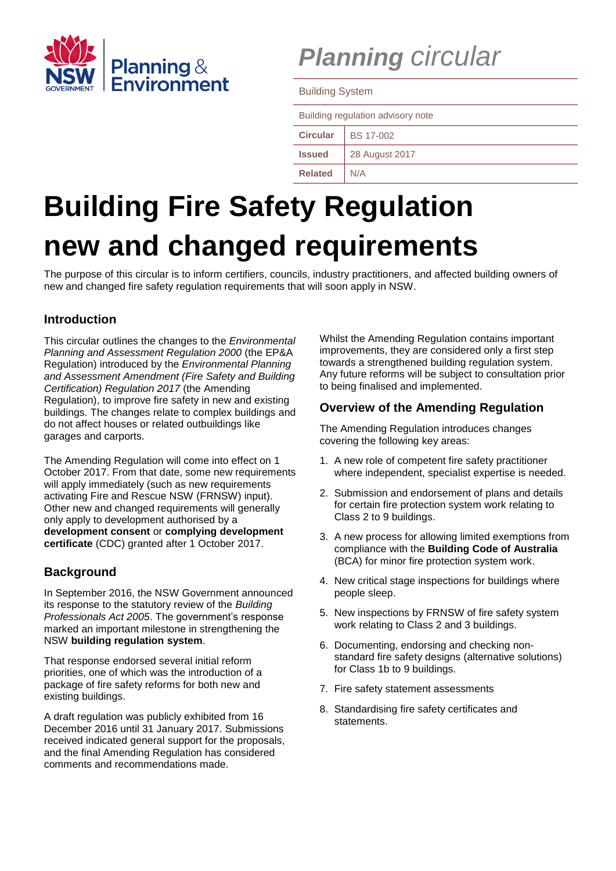

# *Planning circular*

Building System

| Building regulation advisory note |                  |
|-----------------------------------|------------------|
| <b>Circular</b>                   | <b>BS 17-002</b> |
| <b>Issued</b>                     | 28 August 2017   |
| <b>Related</b>                    | N/A              |

# **Building Fire Safety Regulation new and changed requirements**

The purpose of this circular is to inform certifiers, councils, industry practitioners, and affected building owners of new and changed fire safety regulation requirements that will soon apply in NSW.

# **Introduction**

This circular outlines the changes to the *Environmental Planning and Assessment Regulation 2000* (the EP&A Regulation) introduced by the *Environmental Planning and Assessment Amendment (Fire Safety and Building Certification) Regulation 2017* (the Amending Regulation), to improve fire safety in new and existing buildings. The changes relate to complex buildings and do not affect houses or related outbuildings like garages and carports.

The Amending Regulation will come into effect on 1 October 2017. From that date, some new requirements will apply immediately (such as new requirements activating Fire and Rescue NSW (FRNSW) input). Other new and changed requirements will generally only apply to development authorised by a **development consent** or **complying development certificate** (CDC) granted after 1 October 2017.

# **Background**

In September 2016, the NSW Government announced its response to the statutory review of the *Building Professionals Act 2005*. The government's response marked an important milestone in strengthening the NSW **building regulation system**.

That response endorsed several initial reform priorities, one of which was the introduction of a package of fire safety reforms for both new and existing buildings.

A draft regulation was publicly exhibited from 16 December 2016 until 31 January 2017. Submissions received indicated general support for the proposals, and the final Amending Regulation has considered comments and recommendations made.

Whilst the Amending Regulation contains important improvements, they are considered only a first step towards a strengthened building regulation system. Any future reforms will be subject to consultation prior to being finalised and implemented.

# **Overview of the Amending Regulation**

The Amending Regulation introduces changes covering the following key areas:

- 1. A new role of competent fire safety practitioner where independent, specialist expertise is needed.
- 2. Submission and endorsement of plans and details for certain fire protection system work relating to Class 2 to 9 buildings.
- 3. A new process for allowing limited exemptions from compliance with the **Building Code of Australia** (BCA) for minor fire protection system work.
- 4. New critical stage inspections for buildings where people sleep.
- 5. New inspections by FRNSW of fire safety system work relating to Class 2 and 3 buildings.
- 6. Documenting, endorsing and checking nonstandard fire safety designs (alternative solutions) for Class 1b to 9 buildings.
- 7. Fire safety statement assessments
- 8. Standardising fire safety certificates and statements.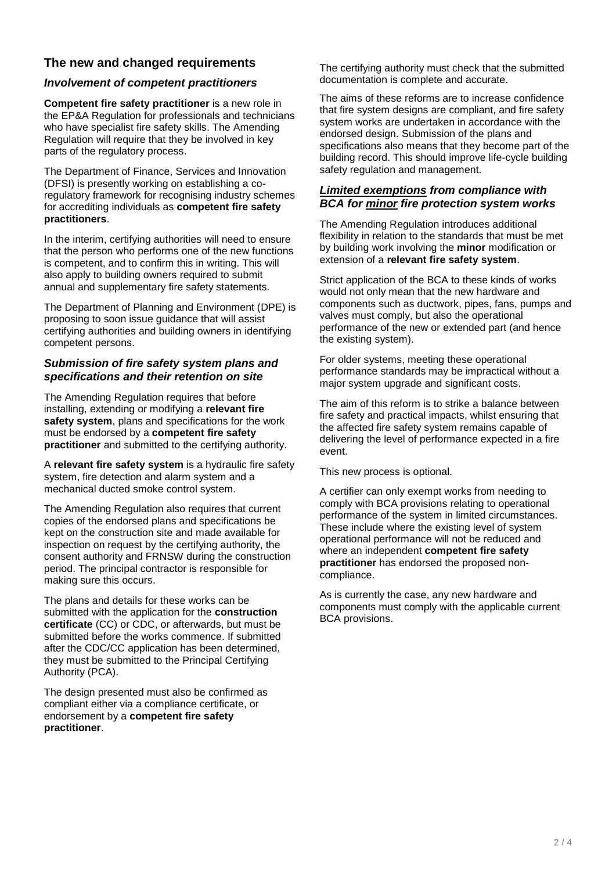# **The new and changed requirements**

# *Involvement of competent practitioners*

**Competent fire safety practitioner** is a new role in the EP&A Regulation for professionals and technicians who have specialist fire safety skills. The Amending Regulation will require that they be involved in key parts of the regulatory process.

The Department of Finance, Services and Innovation (DFSI) is presently working on establishing a coregulatory framework for recognising industry schemes for accrediting individuals as **competent fire safety practitioners**.

In the interim, certifying authorities will need to ensure that the person who performs one of the new functions is competent, and to confirm this in writing. This will also apply to building owners required to submit annual and supplementary fire safety statements.

The Department of Planning and Environment (DPE) is proposing to soon issue guidance that will assist certifying authorities and building owners in identifying competent persons.

# *Submission of fire safety system plans and specifications and their retention on site*

The Amending Regulation requires that before installing, extending or modifying a **relevant fire safety system**, plans and specifications for the work must be endorsed by a **competent fire safety practitioner** and submitted to the certifying authority.

A **relevant fire safety system** is a hydraulic fire safety system, fire detection and alarm system and a mechanical ducted smoke control system.

The Amending Regulation also requires that current copies of the endorsed plans and specifications be kept on the construction site and made available for inspection on request by the certifying authority, the consent authority and FRNSW during the construction period. The principal contractor is responsible for making sure this occurs.

The plans and details for these works can be submitted with the application for the **construction certificate** (CC) or CDC, or afterwards, but must be submitted before the works commence. If submitted after the CDC/CC application has been determined, they must be submitted to the Principal Certifying Authority (PCA).

The design presented must also be confirmed as compliant either via a compliance certificate, or endorsement by a **competent fire safety practitioner**.

The certifying authority must check that the submitted documentation is complete and accurate.

The aims of these reforms are to increase confidence that fire system designs are compliant, and fire safety system works are undertaken in accordance with the endorsed design. Submission of the plans and specifications also means that they become part of the building record. This should improve life-cycle building safety regulation and management.

#### *Limited exemptions from compliance with BCA for minor fire protection system works*

The Amending Regulation introduces additional flexibility in relation to the standards that must be met by building work involving the **minor** modification or extension of a **relevant fire safety system**.

Strict application of the BCA to these kinds of works would not only mean that the new hardware and components such as ductwork, pipes, fans, pumps and valves must comply, but also the operational performance of the new or extended part (and hence the existing system).

For older systems, meeting these operational performance standards may be impractical without a major system upgrade and significant costs.

The aim of this reform is to strike a balance between fire safety and practical impacts, whilst ensuring that the affected fire safety system remains capable of delivering the level of performance expected in a fire event.

This new process is optional.

A certifier can only exempt works from needing to comply with BCA provisions relating to operational performance of the system in limited circumstances. These include where the existing level of system operational performance will not be reduced and where an independent **competent fire safety practitioner** has endorsed the proposed noncompliance.

As is currently the case, any new hardware and components must comply with the applicable current BCA provisions.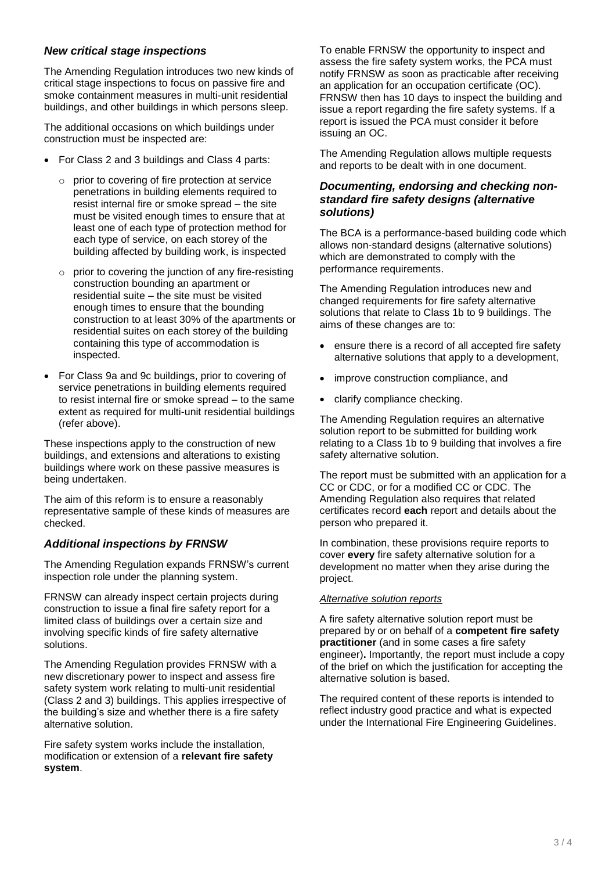# *New critical stage inspections*

The Amending Regulation introduces two new kinds of critical stage inspections to focus on passive fire and smoke containment measures in multi-unit residential buildings, and other buildings in which persons sleep.

The additional occasions on which buildings under construction must be inspected are:

- For Class 2 and 3 buildings and Class 4 parts:
	- $\circ$  prior to covering of fire protection at service penetrations in building elements required to resist internal fire or smoke spread – the site must be visited enough times to ensure that at least one of each type of protection method for each type of service, on each storey of the building affected by building work, is inspected
	- $\circ$  prior to covering the junction of any fire-resisting construction bounding an apartment or residential suite – the site must be visited enough times to ensure that the bounding construction to at least 30% of the apartments or residential suites on each storey of the building containing this type of accommodation is inspected.
- For Class 9a and 9c buildings, prior to covering of service penetrations in building elements required to resist internal fire or smoke spread – to the same extent as required for multi-unit residential buildings (refer above).

These inspections apply to the construction of new buildings, and extensions and alterations to existing buildings where work on these passive measures is being undertaken.

The aim of this reform is to ensure a reasonably representative sample of these kinds of measures are checked.

# *Additional inspections by FRNSW*

The Amending Regulation expands FRNSW's current inspection role under the planning system.

FRNSW can already inspect certain projects during construction to issue a final fire safety report for a limited class of buildings over a certain size and involving specific kinds of fire safety alternative solutions.

The Amending Regulation provides FRNSW with a new discretionary power to inspect and assess fire safety system work relating to multi-unit residential (Class 2 and 3) buildings. This applies irrespective of the building's size and whether there is a fire safety alternative solution.

Fire safety system works include the installation, modification or extension of a **relevant fire safety system**.

To enable FRNSW the opportunity to inspect and assess the fire safety system works, the PCA must notify FRNSW as soon as practicable after receiving an application for an occupation certificate (OC). FRNSW then has 10 days to inspect the building and issue a report regarding the fire safety systems. If a report is issued the PCA must consider it before issuing an OC.

The Amending Regulation allows multiple requests and reports to be dealt with in one document.

### *Documenting, endorsing and checking nonstandard fire safety designs (alternative solutions)*

The BCA is a performance-based building code which allows non-standard designs (alternative solutions) which are demonstrated to comply with the performance requirements.

The Amending Regulation introduces new and changed requirements for fire safety alternative solutions that relate to Class 1b to 9 buildings. The aims of these changes are to:

- ensure there is a record of all accepted fire safety alternative solutions that apply to a development,
- improve construction compliance, and
- clarify compliance checking.

The Amending Regulation requires an alternative solution report to be submitted for building work relating to a Class 1b to 9 building that involves a fire safety alternative solution.

The report must be submitted with an application for a CC or CDC, or for a modified CC or CDC. The Amending Regulation also requires that related certificates record **each** report and details about the person who prepared it.

In combination, these provisions require reports to cover **every** fire safety alternative solution for a development no matter when they arise during the project.

#### *Alternative solution reports*

A fire safety alternative solution report must be prepared by or on behalf of a **competent fire safety practitioner** (and in some cases a fire safety engineer)**.** Importantly, the report must include a copy of the brief on which the justification for accepting the alternative solution is based.

The required content of these reports is intended to reflect industry good practice and what is expected under the International Fire Engineering Guidelines.